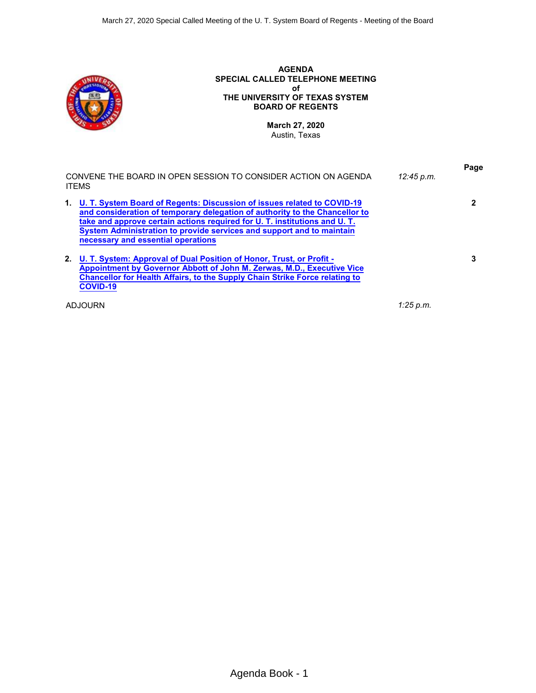

**2. [U. T. System: Approval of Dual Position of Honor, Trust, or Profit -](#page-2-0) [Appointment by Governor Abbott of John M. Zerwas, M.D., Executive Vice](#page-2-0) [Chancellor for Health Affairs, to the Supply Chain Strike Force relating to](#page-2-0) [COVID-19](#page-2-0)**

ADJOURN *1:25 p.m.*

**3**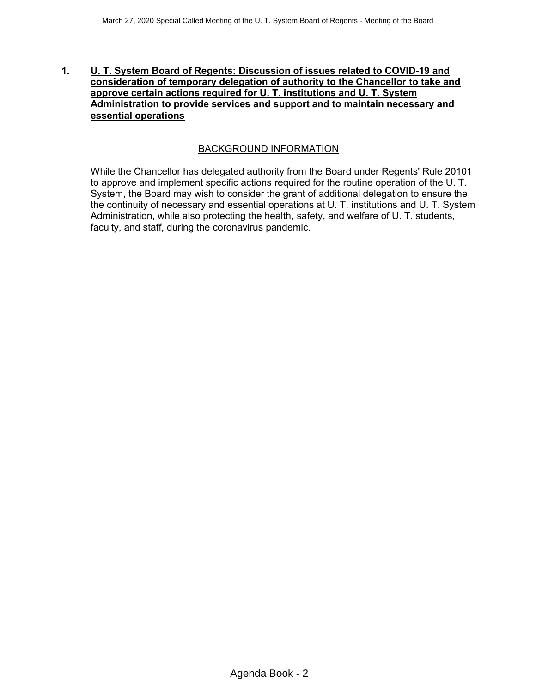### <span id="page-1-0"></span>**1. U. T. System Board of Regents: Discussion of issues related to COVID-19 and consideration of temporary delegation of authority to the Chancellor to take and approve certain actions required for U. T. institutions and U. T. System Administration to provide services and support and to maintain necessary and essential operations**

# BACKGROUND INFORMATION

While the Chancellor has delegated authority from the Board under Regents' Rule 20101 to approve and implement specific actions required for the routine operation of the U. T. System, the Board may wish to consider the grant of additional delegation to ensure the the continuity of necessary and essential operations at U. T. institutions and U. T. System Administration, while also protecting the health, safety, and welfare of U. T. students, faculty, and staff, during the coronavirus pandemic.